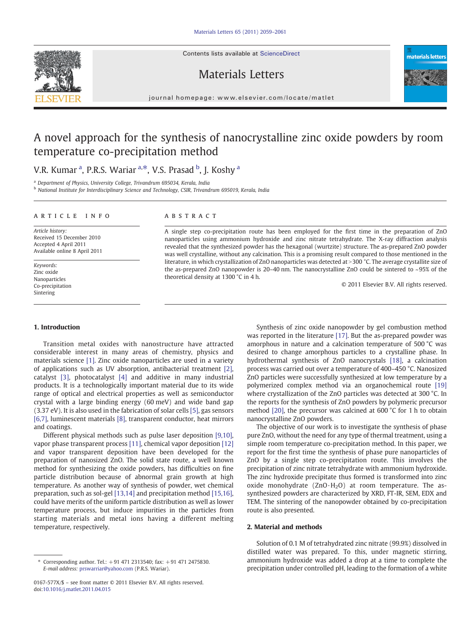Contents lists available at ScienceDirect







journal homepage: www.elsevier.com/locate/matlet

# A novel approach for the synthesis of nanocrystalline zinc oxide powders by room temperature co-precipitation method

V.R. Kumar <sup>a</sup>, P.R.S. Wariar <sup>a,\*</sup>, V.S. Prasad <sup>b</sup>, J. Koshy <sup>a</sup>

<sup>a</sup> Department of Physics, University College, Trivandrum 695034, Kerala, India

<sup>b</sup> National Institute for Interdisciplinary Science and Technology, CSIR, Trivandrum 695019, Kerala, India

### article info abstract

Article history: Received 15 December 2010 Accepted 4 April 2011 Available online 8 April 2011

Keywords: Zinc oxide Nanoparticles Co-precipitation Sintering

A single step co-precipitation route has been employed for the first time in the preparation of ZnO nanoparticles using ammonium hydroxide and zinc nitrate tetrahydrate. The X-ray diffraction analysis revealed that the synthesized powder has the hexagonal (wurtzite) structure. The as-prepared ZnO powder was well crystalline, without any calcination. This is a promising result compared to those mentioned in the literature, in which crystallization of ZnO nanoparticles was detected at >300 °C. The average crystallite size of the as-prepared ZnO nanopowder is 20–40 nm. The nanocrystalline ZnO could be sintered to ~95% of the theoretical density at 1300 °C in 4 h.

© 2011 Elsevier B.V. All rights reserved.

# 1. Introduction

Transition metal oxides with nanostructure have attracted considerable interest in many areas of chemistry, physics and materials science [\[1\].](#page-2-0) Zinc oxide nanoparticles are used in a variety of applications such as UV absorption, antibacterial treatment [\[2\],](#page-2-0) catalyst [\[3\],](#page-2-0) photocatalyst [\[4\]](#page-2-0) and additive in many industrial products. It is a technologically important material due to its wide range of optical and electrical properties as well as semiconductor crystal with a large binding energy (60 meV) and wide band gap (3.37 eV). It is also used in the fabrication of solar cells [\[5\]](#page-2-0), gas sensors [\[6,7\]](#page-2-0), luminescent materials [\[8\]](#page-2-0), transparent conductor, heat mirrors and coatings.

Different physical methods such as pulse laser deposition [\[9,10\],](#page-2-0) vapor phase transparent process [\[11\]](#page-2-0), chemical vapor deposition [\[12\]](#page-2-0) and vapor transparent deposition have been developed for the preparation of nanosized ZnO. The solid state route, a well known method for synthesizing the oxide powders, has difficulties on fine particle distribution because of abnormal grain growth at high temperature. As another way of synthesis of powder, wet chemical preparation, such as sol-gel [\[13,14\]](#page-2-0) and precipitation method [\[15,16\],](#page-2-0) could have merits of the uniform particle distribution as well as lower temperature process, but induce impurities in the particles from starting materials and metal ions having a different melting temperature, respectively.

Synthesis of zinc oxide nanopowder by gel combustion method was reported in the literature [\[17\].](#page-2-0) But the as-prepared powder was amorphous in nature and a calcination temperature of 500 °C was desired to change amorphous particles to a crystalline phase. In hydrothermal synthesis of ZnO nanocrystals [\[18\]](#page-2-0), a calcination process was carried out over a temperature of 400–450 °C. Nanosized ZnO particles were successfully synthesized at low temperature by a polymerized complex method via an organochemical route [\[19\]](#page-2-0) where crystallization of the ZnO particles was detected at 300 °C. In the reports for the synthesis of ZnO powders by polymeric precursor method [\[20\],](#page-2-0) the precursor was calcined at 600 °C for 1 h to obtain nanocrystalline ZnO powders.

The objective of our work is to investigate the synthesis of phase pure ZnO, without the need for any type of thermal treatment, using a simple room temperature co-precipitation method. In this paper, we report for the first time the synthesis of phase pure nanoparticles of ZnO by a single step co-precipitation route. This involves the precipitation of zinc nitrate tetrahydrate with ammonium hydroxide. The zinc hydroxide precipitate thus formed is transformed into zinc oxide monohydrate  $(ZnO·H<sub>2</sub>O)$  at room temperature. The assynthesized powders are characterized by XRD, FT-IR, SEM, EDX and TEM. The sintering of the nanopowder obtained by co-precipitation route is also presented.

# 2. Material and methods

Solution of 0.1 M of tetrahydrated zinc nitrate (99.9%) dissolved in distilled water was prepared. To this, under magnetic stirring, ammonium hydroxide was added a drop at a time to complete the precipitation under controlled pH, leading to the formation of a white

Corresponding author. Tel.: +91 471 2313540; fax: +91 471 2475830. E-mail address: [prswarriar@yahoo.com](mailto:prswarriar@yahoo.com) (P.R.S. Wariar).

<sup>0167-577</sup>X/\$ – see front matter © 2011 Elsevier B.V. All rights reserved. doi:[10.1016/j.matlet.2011.04.015](http://dx.doi.org/10.1016/j.matlet.2011.04.015)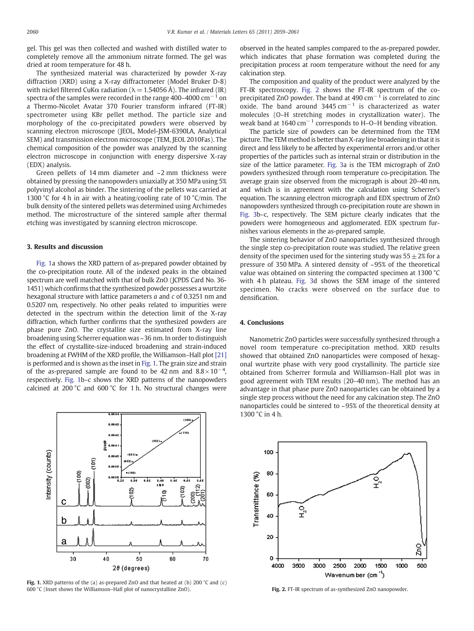gel. This gel was then collected and washed with distilled water to completely remove all the ammonium nitrate formed. The gel was dried at room temperature for 48 h.

The synthesized material was characterized by powder X-ray diffraction (XRD) using a X-ray diffractometer (Model Bruker D-8) with nickel filtered CuK $\alpha$  radiation ( $\lambda$  = 1.54056 Å). The infrared (IR) spectra of the samples were recorded in the range 400–4000  $cm^{-1}$  on a Thermo-Nicolet Avatar 370 Fourier transform infrared (FT-IR) spectrometer using KBr pellet method. The particle size and morphology of the co-precipitated powders were observed by scanning electron microscope (JEOL, Model-JSM-6390LA, Analytical SEM) and transmission electron microscope (TEM, JEOL 2010Fas). The chemical composition of the powder was analyzed by the scanning electron microscope in conjunction with energy dispersive X-ray (EDX) analysis.

Green pellets of 14 mm diameter and ~2 mm thickness were obtained by pressing the nanopowders uniaxially at 350 MPa using 5% polyvinyl alcohol as binder. The sintering of the pellets was carried at 1300 °C for 4 h in air with a heating/cooling rate of 10 °C/min. The bulk density of the sintered pellets was determined using Archimedes method. The microstructure of the sintered sample after thermal etching was investigated by scanning electron microscope.

# 3. Results and discussion

Fig. 1a shows the XRD pattern of as-prepared powder obtained by the co-precipitation route. All of the indexed peaks in the obtained spectrum are well matched with that of bulk ZnO (JCPDS Card No. 36- 1451) which confirms that the synthesized powder possesses a wurtzite hexagonal structure with lattice parameters  $a$  and  $c$  of 0.3251 nm and 0.5207 nm, respectively. No other peaks related to impurities were detected in the spectrum within the detection limit of the X-ray diffraction, which further confirms that the synthesized powders are phase pure ZnO. The crystallite size estimated from X-ray line broadening using Scherrer equation was ~36 nm. In order to distinguish the effect of crystallite-size-induced broadening and strain-induced broadening at FWHM of the XRD profile, the Williamson–Hall plot [\[21\]](#page-2-0) is performed and is shown as the inset in Fig. 1. The grain size and strain of the as-prepared sample are found to be 42 nm and  $8.8 \times 10^{-4}$ , respectively. Fig. 1b–c shows the XRD patterns of the nanopowders calcined at 200 °C and 600 °C for 1 h. No structural changes were



Fig. 1. XRD patterns of the (a) as-prepared ZnO and that heated at (b) 200 °C and (c) 600 °C (Inset shows the Williamson–Hall plot of nanocrystalline ZnO). Fig. 2. FT-IR spectrum of as-synthesized ZnO nanopowder.

observed in the heated samples compared to the as-prepared powder, which indicates that phase formation was completed during the precipitation process at room temperature without the need for any calcination step.

The composition and quality of the product were analyzed by the FT-IR spectroscopy. Fig. 2 shows the FT-IR spectrum of the coprecipitated ZnO powder. The band at 490  $cm^{-1}$  is correlated to zinc oxide. The band around  $3445 \text{ cm}^{-1}$  is characterized as water molecules (O–H stretching modes in crystallization water). The weak band at  $1640 \text{ cm}^{-1}$  corresponds to H–O–H bending vibration.

The particle size of powders can be determined from the TEM picture. The TEM method is better than X-ray line broadening in that it is direct and less likely to be affected by experimental errors and/or other properties of the particles such as internal strain or distribution in the size of the lattice parameter. [Fig. 3a](#page-2-0) is the TEM micrograph of ZnO powders synthesized through room temperature co-precipitation. The average grain size observed from the micrograph is about 20–40 nm, and which is in agreement with the calculation using Scherrer's equation. The scanning electron micrograph and EDX spectrum of ZnO nanopowders synthesized through co-precipitation route are shown in [Fig. 3b](#page-2-0)–c, respectively. The SEM picture clearly indicates that the powders were homogeneous and agglomerated. EDX spectrum furnishes various elements in the as-prepared sample.

The sintering behavior of ZnO nanoparticles synthesized through the single step co-precipitation route was studied. The relative green density of the specimen used for the sintering study was  $55 \pm 2\%$  for a pressure of 350 MPa. A sintered density of ~95% of the theoretical value was obtained on sintering the compacted specimen at 1300 °C with 4 h plateau. [Fig. 3](#page-2-0)d shows the SEM image of the sintered specimen. No cracks were observed on the surface due to densification.

## 4. Conclusions

Nanometric ZnO particles were successfully synthesized through a novel room temperature co-precipitation method. XRD results showed that obtained ZnO nanoparticles were composed of hexagonal wurtzite phase with very good crystallinity. The particle size obtained from Scherrer formula and Williamson–Hall plot was in good agreement with TEM results (20–40 nm). The method has an advantage in that phase pure ZnO nanoparticles can be obtained by a single step process without the need for any calcination step. The ZnO nanoparticles could be sintered to ~95% of the theoretical density at 1300 °C in 4 h.